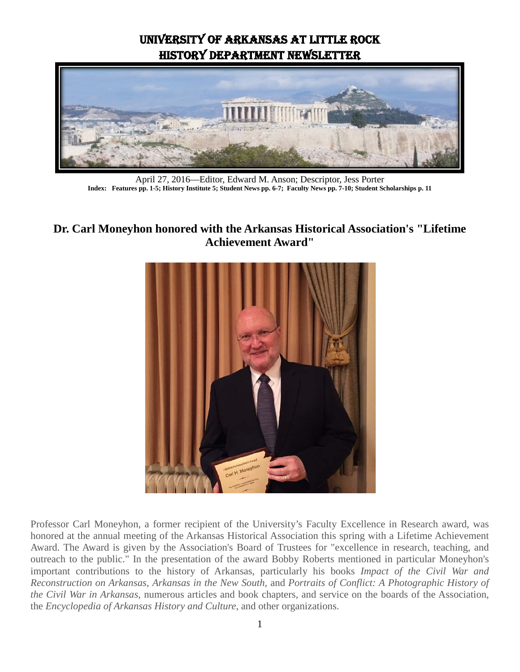# University of Arkansas at Little Rock History Department Newsletter



April 27, 2016—Editor, Edward M. Anson; Descriptor, Jess Porter **Index: Features pp. 1-5; History Institute 5; Student News pp. 6-7; Faculty News pp. 7-10; Student Scholarships p. 11**

### **Dr. Carl Moneyhon honored with the Arkansas Historical Association's "Lifetime Achievement Award"**



Professor Carl Moneyhon, a former recipient of the University's Faculty Excellence in Research award, was honored at the annual meeting of the Arkansas Historical Association this spring with a Lifetime Achievement Award. The Award is given by the Association's Board of Trustees for "excellence in research, teaching, and outreach to the public." In the presentation of the award Bobby Roberts mentioned in particular Moneyhon's important contributions to the history of Arkansas, particularly his books *Impact of the Civil War and Reconstruction on Arkansas*, *Arkansas in the New South*, and *Portraits of Conflict: A Photographic History of the Civil War in Arkansas*, numerous articles and book chapters, and service on the boards of the Association, the *Encyclopedia of Arkansas History and Culture*, and other organizations.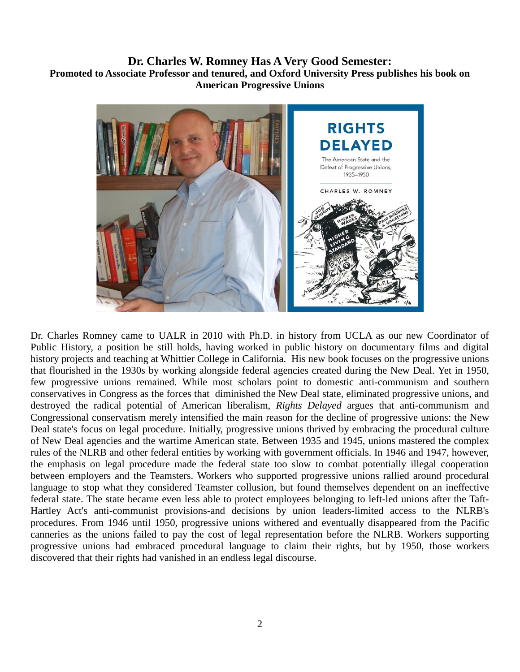#### **Dr. Charles W. Romney Has A Very Good Semester: Promoted to Associate Professor and tenured, and Oxford University Press publishes his book on American Progressive Unions**



Dr. Charles Romney came to UALR in 2010 with Ph.D. in history from UCLA as our new Coordinator of Public History, a position he still holds, having worked in public history on documentary films and digital history projects and teaching at Whittier College in California. His new book focuses on the progressive unions that flourished in the 1930s by working alongside federal agencies created during the New Deal. Yet in 1950, few progressive unions remained. While most scholars point to domestic anti-communism and southern conservatives in Congress as the forces that diminished the New Deal state, eliminated progressive unions, and destroyed the radical potential of American liberalism, *Rights Delayed* argues that anti-communism and Congressional conservatism merely intensified the main reason for the decline of progressive unions: the New Deal state's focus on legal procedure. Initially, progressive unions thrived by embracing the procedural culture of New Deal agencies and the wartime American state. Between 1935 and 1945, unions mastered the complex rules of the NLRB and other federal entities by working with government officials. In 1946 and 1947, however, the emphasis on legal procedure made the federal state too slow to combat potentially illegal cooperation between employers and the Teamsters. Workers who supported progressive unions rallied around procedural language to stop what they considered Teamster collusion, but found themselves dependent on an ineffective federal state. The state became even less able to protect employees belonging to left-led unions after the Taft-Hartley Act's anti-communist provisions-and decisions by union leaders-limited access to the NLRB's procedures. From 1946 until 1950, progressive unions withered and eventually disappeared from the Pacific canneries as the unions failed to pay the cost of legal representation before the NLRB. Workers supporting progressive unions had embraced procedural language to claim their rights, but by 1950, those workers discovered that their rights had vanished in an endless legal discourse.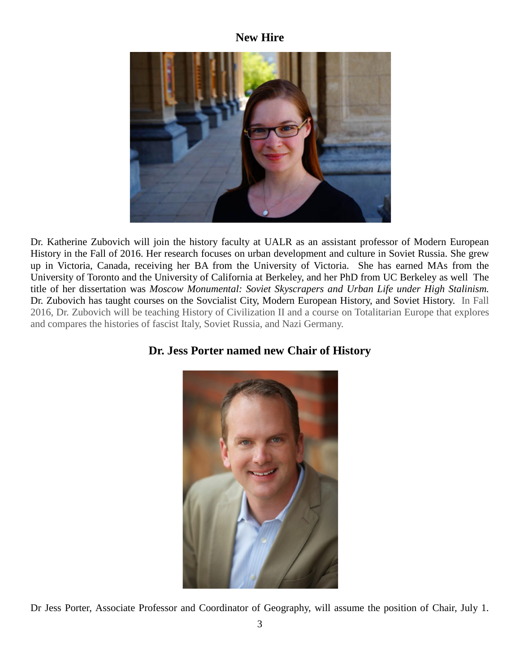#### **New Hire**



Dr. Katherine Zubovich will join the history faculty at UALR as an assistant professor of Modern European History in the Fall of 2016. Her research focuses on urban development and culture in Soviet Russia. She grew up in Victoria, Canada, receiving her BA from the University of Victoria. She has earned MAs from the University of Toronto and the University of California at Berkeley, and her PhD from UC Berkeley as well The title of her dissertation was *Moscow Monumental: Soviet Skyscrapers and Urban Life under High Stalinism.* Dr. Zubovich has taught courses on the Sovcialist City, Modern European History, and Soviet History. In Fall 2016, Dr. Zubovich will be teaching History of Civilization II and a course on Totalitarian Europe that explores and compares the histories of fascist Italy, Soviet Russia, and Nazi Germany.

### **Dr. Jess Porter named new Chair of History**



Dr Jess Porter, Associate Professor and Coordinator of Geography, will assume the position of Chair, July 1.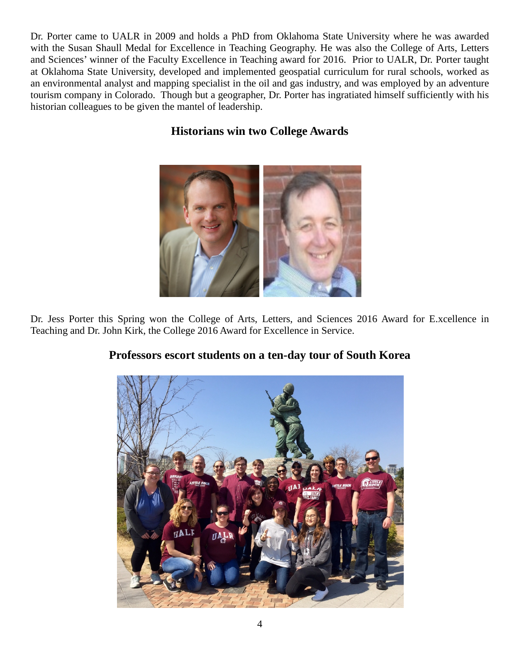Dr. Porter came to UALR in 2009 and holds a PhD from Oklahoma State University where he was awarded with the Susan Shaull Medal for Excellence in Teaching Geography. He was also the College of Arts, Letters and Sciences' winner of the Faculty Excellence in Teaching award for 2016. Prior to UALR, Dr. Porter taught at Oklahoma State University, developed and implemented geospatial curriculum for rural schools, worked as an environmental analyst and mapping specialist in the oil and gas industry, and was employed by an adventure tourism company in Colorado. Though but a geographer, Dr. Porter has ingratiated himself sufficiently with his historian colleagues to be given the mantel of leadership.

## **Historians win two College Awards**



Dr. Jess Porter this Spring won the College of Arts, Letters, and Sciences 2016 Award for E.xcellence in Teaching and Dr. John Kirk, the College 2016 Award for Excellence in Service.



### **Professors escort students on a ten-day tour of South Korea**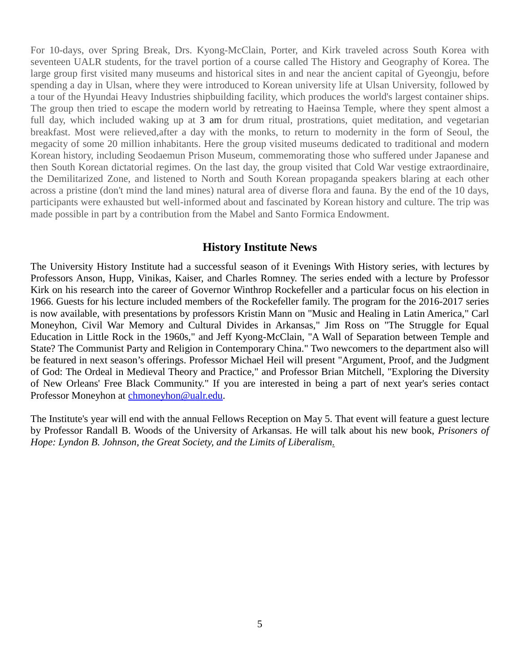For 10-days, over Spring Break, Drs. Kyong-McClain, Porter, and Kirk traveled across South Korea with seventeen UALR students, for the travel portion of a course called The History and Geography of Korea. The large group first visited many museums and historical sites in and near the ancient capital of Gyeongju, before spending a day in Ulsan, where they were introduced to Korean university life at Ulsan University, followed by a tour of the Hyundai Heavy Industries shipbuilding facility, which produces the world's largest container ships. The group then tried to escape the modern world by retreating to Haeinsa Temple, where they spent almost a full day, which included waking up at 3 am for drum ritual, prostrations, quiet meditation, and vegetarian breakfast. Most were relieved,after a day with the monks, to return to modernity in the form of Seoul, the megacity of some 20 million inhabitants. Here the group visited museums dedicated to traditional and modern Korean history, including Seodaemun Prison Museum, commemorating those who suffered under Japanese and then South Korean dictatorial regimes. On the last day, the group visited that Cold War vestige extraordinaire, the Demilitarized Zone, and listened to North and South Korean propaganda speakers blaring at each other across a pristine (don't mind the land mines) natural area of diverse flora and fauna. By the end of the 10 days, participants were exhausted but well-informed about and fascinated by Korean history and culture. The trip was made possible in part by a contribution from the Mabel and Santo Formica Endowment.

#### **History Institute News**

The University History Institute had a successful season of it Evenings With History series, with lectures by Professors Anson, Hupp, Vinikas, Kaiser, and Charles Romney. The series ended with a lecture by Professor Kirk on his research into the career of Governor Winthrop Rockefeller and a particular focus on his election in 1966. Guests for his lecture included members of the Rockefeller family. The program for the 2016-2017 series is now available, with presentations by professors Kristin Mann on "Music and Healing in Latin America," Carl Moneyhon, Civil War Memory and Cultural Divides in Arkansas," Jim Ross on "The Struggle for Equal Education in Little Rock in the 1960s," and Jeff Kyong-McClain, "A Wall of Separation between Temple and State? The Communist Party and Religion in Contemporary China." Two newcomers to the department also will be featured in next season's offerings. Professor Michael Heil will present "Argument, Proof, and the Judgment of God: The Ordeal in Medieval Theory and Practice," and Professor Brian Mitchell, "Exploring the Diversity of New Orleans' Free Black Community." If you are interested in being a part of next year's series contact Professor Moneyhon at [chmoneyhon@ualr.edu.](mailto:chmoneyhon@ualr.edu)

The Institute's year will end with the annual Fellows Reception on May 5. That event will feature a guest lecture by Professor Randall B. Woods of the University of Arkansas. He will talk about his new book, *Prisoners of Hope: Lyndon B. Johnson, the Great Society, and the Limits of Liberalism*.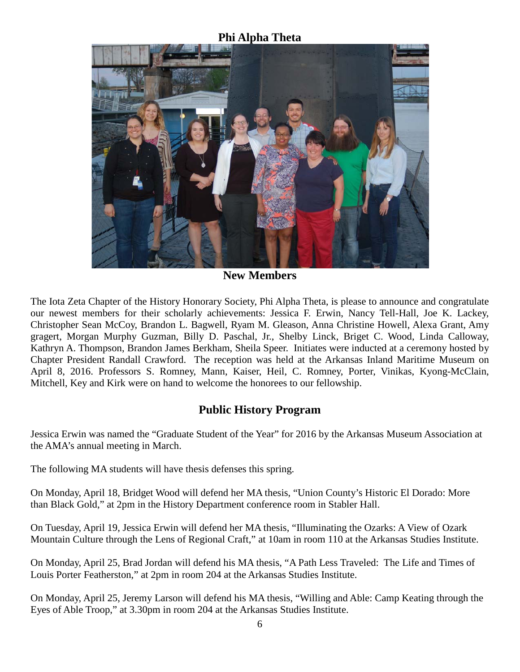### **Phi Alpha Theta**



**New Members**

The Iota Zeta Chapter of the History Honorary Society, Phi Alpha Theta, is please to announce and congratulate our newest members for their scholarly achievements: Jessica F. Erwin, Nancy Tell-Hall, Joe K. Lackey, Christopher Sean McCoy, Brandon L. Bagwell, Ryam M. Gleason, Anna Christine Howell, Alexa Grant, Amy gragert, Morgan Murphy Guzman, Billy D. Paschal, Jr., Shelby Linck, Briget C. Wood, Linda Calloway, Kathryn A. Thompson, Brandon James Berkham, Sheila Speer. Initiates were inducted at a ceremony hosted by Chapter President Randall Crawford. The reception was held at the Arkansas Inland Maritime Museum on April 8, 2016. Professors S. Romney, Mann, Kaiser, Heil, C. Romney, Porter, Vinikas, Kyong-McClain, Mitchell, Key and Kirk were on hand to welcome the honorees to our fellowship.

## **Public History Program**

Jessica Erwin was named the "Graduate Student of the Year" for 2016 by the Arkansas Museum Association at the AMA's annual meeting in March.

The following MA students will have thesis defenses this spring.

On Monday, April 18, Bridget Wood will defend her MA thesis, "Union County's Historic El Dorado: More than Black Gold," at 2pm in the History Department conference room in Stabler Hall.

On Tuesday, April 19, Jessica Erwin will defend her MA thesis, "Illuminating the Ozarks: A View of Ozark Mountain Culture through the Lens of Regional Craft," at 10am in room 110 at the Arkansas Studies Institute.

On Monday, April 25, Brad Jordan will defend his MA thesis, "A Path Less Traveled: The Life and Times of Louis Porter Featherston," at 2pm in room 204 at the Arkansas Studies Institute.

On Monday, April 25, Jeremy Larson will defend his MA thesis, "Willing and Able: Camp Keating through the Eyes of Able Troop," at 3.30pm in room 204 at the Arkansas Studies Institute.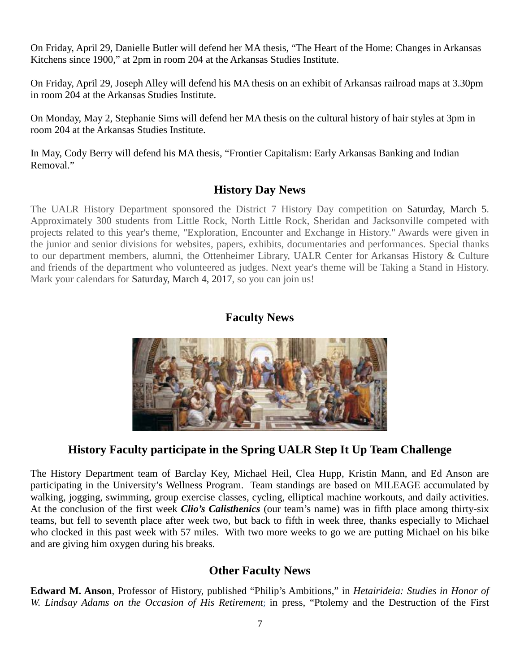On Friday, April 29, Danielle Butler will defend her MA thesis, "The Heart of the Home: Changes in Arkansas Kitchens since 1900," at 2pm in room 204 at the Arkansas Studies Institute.

On Friday, April 29, Joseph Alley will defend his MA thesis on an exhibit of Arkansas railroad maps at 3.30pm in room 204 at the Arkansas Studies Institute.

On Monday, May 2, Stephanie Sims will defend her MA thesis on the cultural history of hair styles at 3pm in room 204 at the Arkansas Studies Institute.

In May, Cody Berry will defend his MA thesis, "Frontier Capitalism: Early Arkansas Banking and Indian Removal."

#### **History Day News**

The UALR History Department sponsored the District 7 History Day competition on Saturday, March 5. Approximately 300 students from Little Rock, North Little Rock, Sheridan and Jacksonville competed with projects related to this year's theme, "Exploration, Encounter and Exchange in History." Awards were given in the junior and senior divisions for websites, papers, exhibits, documentaries and performances. Special thanks to our department members, alumni, the Ottenheimer Library, UALR Center for Arkansas History & Culture and friends of the department who volunteered as judges. Next year's theme will be Taking a Stand in History. Mark your calendars for Saturday, March 4, 2017, so you can join us!

#### **Faculty News**



## **History Faculty participate in the Spring UALR Step It Up Team Challenge**

The History Department team of Barclay Key, Michael Heil, Clea Hupp, Kristin Mann, and Ed Anson are participating in the University's Wellness Program. Team standings are based on MILEAGE accumulated by walking, jogging, swimming, group exercise classes, cycling, elliptical machine workouts, and daily activities. At the conclusion of the first week *Clio's Calisthenics* (our team's name) was in fifth place among thirty-six teams, but fell to seventh place after week two, but back to fifth in week three, thanks especially to Michael who clocked in this past week with 57 miles. With two more weeks to go we are putting Michael on his bike and are giving him oxygen during his breaks.

### **Other Faculty News**

**Edward M. Anson**, Professor of History, published "Philip's Ambitions," in *Hetairideia: Studies in Honor of W. Lindsay Adams on the Occasion of His Retirement*; in press, "Ptolemy and the Destruction of the First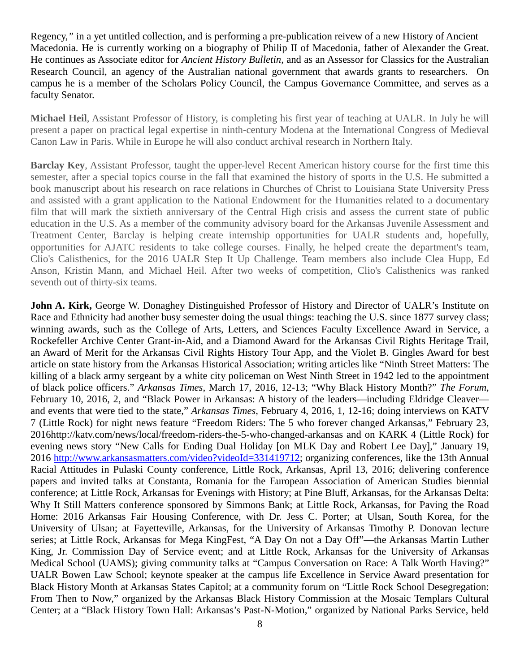Regency,*"* in a yet untitled collection, and is performing a pre-publication reivew of a new History of Ancient Macedonia. He is currently working on a biography of Philip II of Macedonia, father of Alexander the Great. He continues as Associate editor for *Ancient History Bulletin,* and as an Assessor for Classics for the Australian Research Council, an agency of the Australian national government that awards grants to researchers. On campus he is a member of the Scholars Policy Council, the Campus Governance Committee, and serves as a faculty Senator.

**Michael Heil**, Assistant Professor of History, is completing his first year of teaching at UALR. In July he will present a paper on practical legal expertise in ninth-century Modena at the International Congress of Medieval Canon Law in Paris. While in Europe he will also conduct archival research in Northern Italy.

**Barclay Key**, Assistant Professor, taught the upper-level Recent American history course for the first time this semester, after a special topics course in the fall that examined the history of sports in the U.S. He submitted a book manuscript about his research on race relations in Churches of Christ to Louisiana State University Press and assisted with a grant application to the National Endowment for the Humanities related to a documentary film that will mark the sixtieth anniversary of the Central High crisis and assess the current state of public education in the U.S. As a member of the community advisory board for the Arkansas Juvenile Assessment and Treatment Center, Barclay is helping create internship opportunities for UALR students and, hopefully, opportunities for AJATC residents to take college courses. Finally, he helped create the department's team, Clio's Calisthenics, for the 2016 UALR Step It Up Challenge. Team members also include Clea Hupp, Ed Anson, Kristin Mann, and Michael Heil. After two weeks of competition, Clio's Calisthenics was ranked seventh out of thirty-six teams.

John A. Kirk, George W. Donaghey Distinguished Professor of History and Director of UALR's Institute on Race and Ethnicity had another busy semester doing the usual things: teaching the U.S. since 1877 survey class; winning awards, such as the College of Arts, Letters, and Sciences Faculty Excellence Award in Service, a Rockefeller Archive Center Grant-in-Aid, and a Diamond Award for the Arkansas Civil Rights Heritage Trail, an Award of Merit for the Arkansas Civil Rights History Tour App, and the Violet B. Gingles Award for best article on state history from the Arkansas Historical Association; writing articles like "Ninth Street Matters: The killing of a black army sergeant by a white city policeman on West Ninth Street in 1942 led to the appointment of black police officers." *Arkansas Times*, March 17, 2016, 12-13; "Why Black History Month?" *The Forum*, February 10, 2016, 2, and "Black Power in Arkansas: A history of the leaders—including Eldridge Cleaver and events that were tied to the state," *Arkansas Times*, February 4, 2016, 1, 12-16; doing interviews on KATV 7 (Little Rock) for night news feature "Freedom Riders: The 5 who forever changed Arkansas," February 23, 2016http://katv.com/news/local/freedom-riders-the-5-who-changed-arkansas and on KARK 4 (Little Rock) for evening news story "New Calls for Ending Dual Holiday [on MLK Day and Robert Lee Day]," January 19, 2016 [http://www.arkansasmatters.com/video?videoId=331419712;](http://www.arkansasmatters.com/video?videoId=331419712) organizing conferences, like the 13th Annual Racial Attitudes in Pulaski County conference, Little Rock, Arkansas, April 13, 2016; delivering conference papers and invited talks at Constanta, Romania for the European Association of American Studies biennial conference; at Little Rock, Arkansas for Evenings with History; at Pine Bluff, Arkansas, for the Arkansas Delta: Why It Still Matters conference sponsored by Simmons Bank; at Little Rock, Arkansas, for Paving the Road Home: 2016 Arkansas Fair Housing Conference, with Dr. Jess C. Porter; at Ulsan, South Korea, for the University of Ulsan; at Fayetteville, Arkansas, for the University of Arkansas Timothy P. Donovan lecture series; at Little Rock, Arkansas for Mega KingFest, "A Day On not a Day Off"—the Arkansas Martin Luther King, Jr. Commission Day of Service event; and at Little Rock, Arkansas for the University of Arkansas Medical School (UAMS); giving community talks at "Campus Conversation on Race: A Talk Worth Having?" UALR Bowen Law School; keynote speaker at the campus life Excellence in Service Award presentation for Black History Month at Arkansas States Capitol; at a community forum on "Little Rock School Desegregation: From Then to Now," organized by the Arkansas Black History Commission at the Mosaic Templars Cultural Center; at a "Black History Town Hall: Arkansas's Past-N-Motion," organized by National Parks Service, held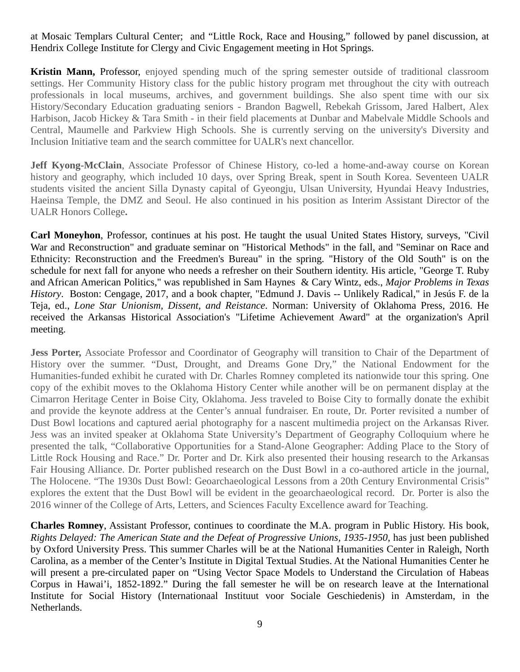#### at Mosaic Templars Cultural Center; and "Little Rock, Race and Housing," followed by panel discussion, at Hendrix College Institute for Clergy and Civic Engagement meeting in Hot Springs.

**Kristin Mann,** Professor, enjoyed spending much of the spring semester outside of traditional classroom settings. Her Community History class for the public history program met throughout the city with outreach professionals in local museums, archives, and government buildings. She also spent time with our six History/Secondary Education graduating seniors - Brandon Bagwell, Rebekah Grissom, Jared Halbert, Alex Harbison, Jacob Hickey & Tara Smith - in their field placements at Dunbar and Mabelvale Middle Schools and Central, Maumelle and Parkview High Schools. She is currently serving on the university's Diversity and Inclusion Initiative team and the search committee for UALR's next chancellor.

**Jeff Kyong-McClain**, Associate Professor of Chinese History, co-led a home-and-away course on Korean history and geography, which included 10 days, over Spring Break, spent in South Korea. Seventeen UALR students visited the ancient Silla Dynasty capital of Gyeongju, Ulsan University, Hyundai Heavy Industries, Haeinsa Temple, the DMZ and Seoul. He also continued in his position as Interim Assistant Director of the UALR Honors College**.**

**Carl Moneyhon**, Professor, continues at his post. He taught the usual United States History, surveys, "Civil War and Reconstruction" and graduate seminar on "Historical Methods" in the fall, and "Seminar on Race and Ethnicity: Reconstruction and the Freedmen's Bureau" in the spring. "History of the Old South" is on the schedule for next fall for anyone who needs a refresher on their Southern identity. His article, "George T. Ruby and African American Politics," was republished in Sam Haynes & Cary Wintz, eds., *Major Problems in Texas History*. Boston: Cengage, 2017, and a book chapter, "Edmund J. Davis -- Unlikely Radical," in Jesús F. de la Teja, ed., *Lone Star Unionism, Dissent, and Reistance*. Norman: University of Oklahoma Press, 2016. He received the Arkansas Historical Association's "Lifetime Achievement Award" at the organization's April meeting.

**Jess Porter,** Associate Professor and Coordinator of Geography will transition to Chair of the Department of History over the summer. "Dust, Drought, and Dreams Gone Dry," the National Endowment for the Humanities-funded exhibit he curated with Dr. Charles Romney completed its nationwide tour this spring. One copy of the exhibit moves to the Oklahoma History Center while another will be on permanent display at the Cimarron Heritage Center in Boise City, Oklahoma. Jess traveled to Boise City to formally donate the exhibit and provide the keynote address at the Center's annual fundraiser. En route, Dr. Porter revisited a number of Dust Bowl locations and captured aerial photography for a nascent multimedia project on the Arkansas River. Jess was an invited speaker at Oklahoma State University's Department of Geography Colloquium where he presented the talk, "Collaborative Opportunities for a Stand-Alone Geographer: Adding Place to the Story of Little Rock Housing and Race." Dr. Porter and Dr. Kirk also presented their housing research to the Arkansas Fair Housing Alliance. Dr. Porter published research on the Dust Bowl in a co-authored article in the journal, The Holocene. "The 1930s Dust Bowl: Geoarchaeological Lessons from a 20th Century Environmental Crisis" explores the extent that the Dust Bowl will be evident in the geoarchaeological record. Dr. Porter is also the 2016 winner of the College of Arts, Letters, and Sciences Faculty Excellence award for Teaching.

**Charles Romney**, Assistant Professor, continues to coordinate the M.A. program in Public History. His book, *Rights Delayed: The American State and the Defeat of Progressive Unions, 1935-1950*, has just been published by Oxford University Press. This summer Charles will be at the National Humanities Center in Raleigh, North Carolina, as a member of the Center's Institute in Digital Textual Studies. At the National Humanities Center he will present a pre-circulated paper on "Using Vector Space Models to Understand the Circulation of Habeas Corpus in Hawai'i, 1852-1892." During the fall semester he will be on research leave at the International Institute for Social History (Internationaal Instituut voor Sociale Geschiedenis) in Amsterdam, in the Netherlands.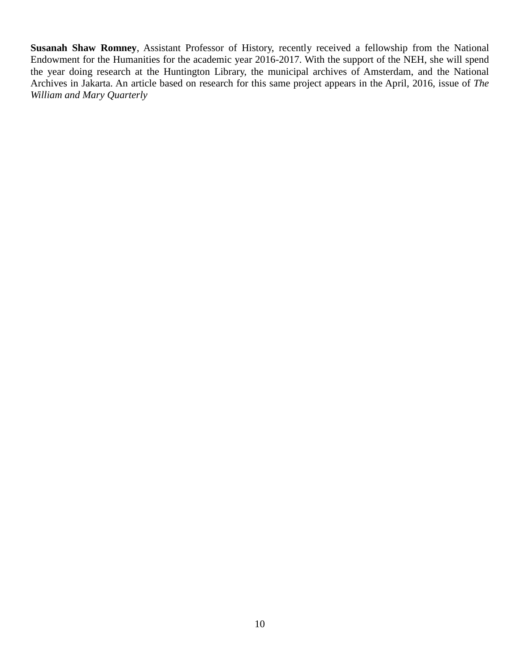**Susanah Shaw Romney**, Assistant Professor of History, recently received a fellowship from the National Endowment for the Humanities for the academic year 2016-2017. With the support of the NEH, she will spend the year doing research at the Huntington Library, the municipal archives of Amsterdam, and the National Archives in Jakarta. An article based on research for this same project appears in the April, 2016, issue of *The William and Mary Quarterly*